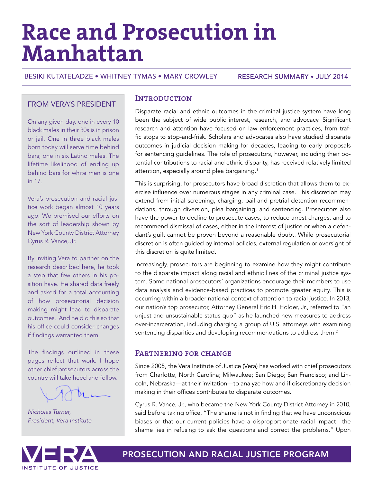# **Race and Prosecution in Manhattan**

BESIKI KUTATELADZE • WHITNEY TYMAS • MARY CROWLEY

RESEARCH SUMMARY • JULY 2014

#### FROM VERA'S PRESIDENT

On any given day, one in every 10 black males in their 30s is in prison or jail. One in three black males born today will serve time behind bars; one in six Latino males. The lifetime likelihood of ending up behind bars for white men is one in 17.

Vera's prosecution and racial justice work began almost 10 years ago. We premised our efforts on the sort of leadership shown by New York County District Attorney Cyrus R. Vance, Jr.

By inviting Vera to partner on the research described here, he took a step that few others in his position have. He shared data freely and asked for a total accounting of how prosecutorial decision making might lead to disparate outcomes. And he did this so that his office could consider changes if findings warranted them.

The findings outlined in these pages reflect that work. I hope other chief prosecutors across the country will take heed and follow.

*Nicholas Turner, President, Vera Institute*

#### **INTRODUCTION**

Disparate racial and ethnic outcomes in the criminal justice system have long been the subject of wide public interest, research, and advocacy. Significant research and attention have focused on law enforcement practices, from traffic stops to stop-and-frisk. Scholars and advocates also have studied disparate outcomes in judicial decision making for decades, leading to early proposals for sentencing guidelines. The role of prosecutors, however, including their potential contributions to racial and ethnic disparity, has received relatively limited attention, especially around plea bargaining.<sup>1</sup>

This is surprising, for prosecutors have broad discretion that allows them to exercise influence over numerous stages in any criminal case. This discretion may extend from initial screening, charging, bail and pretrial detention recommendations, through diversion, plea bargaining, and sentencing. Prosecutors also have the power to decline to prosecute cases, to reduce arrest charges, and to recommend dismissal of cases, either in the interest of justice or when a defendant's guilt cannot be proven beyond a reasonable doubt. While prosecutorial discretion is often guided by internal policies, external regulation or oversight of this discretion is quite limited.

Increasingly, prosecutors are beginning to examine how they might contribute to the disparate impact along racial and ethnic lines of the criminal justice system. Some national prosecutors' organizations encourage their members to use data analysis and evidence-based practices to promote greater equity. This is occurring within a broader national context of attention to racial justice. In 2013, our nation's top prosecutor, Attorney General Eric H. Holder, Jr., referred to "an unjust and unsustainable status quo" as he launched new measures to address over-incarceration, including charging a group of U.S. attorneys with examining sentencing disparities and developing recommendations to address them.<sup>2</sup>

# PARTNERING FOR CHANGE

Since 2005, the Vera Institute of Justice (Vera) has worked with chief prosecutors from Charlotte, North Carolina; Milwaukee; San Diego; San Francisco; and Lincoln, Nebraska—at their invitation—to analyze how and if discretionary decision making in their offices contributes to disparate outcomes.

Cyrus R. Vance, Jr., who became the New York County District Attorney in 2010, said before taking office, "The shame is not in finding that we have unconscious biases or that our current policies have a disproportionate racial impact—the shame lies in refusing to ask the questions and correct the problems." Upon



PROSECUTION AND RACIAL JUSTICE PROGRAM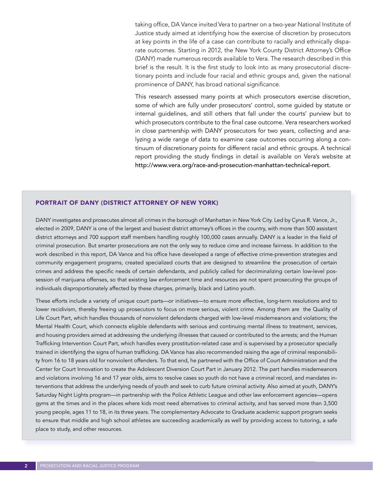taking office, DA Vance invited Vera to partner on a two-year National Institute of Justice study aimed at identifying how the exercise of discretion by prosecutors at key points in the life of a case can contribute to racially and ethnically disparate outcomes. Starting in 2012, the New York County District Attorney's Office (DANY) made numerous records available to Vera. The research described in this brief is the result. It is the first study to look into as many prosecutorial discretionary points and include four racial and ethnic groups and, given the national prominence of DANY, has broad national significance.

This research assessed many points at which prosecutors exercise discretion, some of which are fully under prosecutors' control, some guided by statute or internal guidelines, and still others that fall under the courts' purview but to which prosecutors contribute to the final case outcome. Vera researchers worked in close partnership with DANY prosecutors for two years, collecting and analyzing a wide range of data to examine case outcomes occurring along a continuum of discretionary points for different racial and ethnic groups. A technical report providing the study findings in detail is available on Vera's website at [http://www.vera.org/race-and-prosecution-manhattan-technical-report.](http://www.vera.org/race-and-prosecution-manhattan-technical-report)

#### PORTRAIT OF DANY (DISTRICT ATTORNEY OF NEW YORK)

DANY investigates and prosecutes almost all crimes in the borough of Manhattan in New York City. Led by Cyrus R. Vance, Jr., elected in 2009, DANY is one of the largest and busiest district attorney's offices in the country, with more than 500 assistant district attorneys and 700 support staff members handling roughly 100,000 cases annually. DANY is a leader in the field of criminal prosecution. But smarter prosecutions are not the only way to reduce cime and increase fairness. In addition to the work described in this report, DA Vance and his office have developed a range of effective crime-prevention strategies and community engagement programs, created specialized courts that are designed to streamline the prosecution of certain crimes and address the specific needs of certain defendants, and publicly called for decriminalizing certain low-level possession of marijuana offenses, so that existing law enforcement time and resources are not spent prosecuting the groups of individuals disproportionately affected by these charges, primarily, black and Latino youth.

These efforts include a variety of unique court parts—or initiatives—to ensure more effective, long-term resolutions and to lower recidivism, thereby freeing up prosecutors to focus on more serious, violent crime. Among them are the Quality of Life Court Part, which handles thousands of nonviolent defendants charged with low-level misdemeanors and violations; the Mental Health Court, which connects eligible defendants with serious and continuing mental illness to treatment, services, and housing providers aimed at addressing the underlying illnesses that caused or contributed to the arrests; and the Human Trafficking Intervention Court Part, which handles every prostitution-related case and is supervised by a prosecutor specially trained in identifying the signs of human trafficking. DA Vance has also recommended raising the age of criminal responsibility from 16 to 18 years old for nonviolent offenders. To that end, he partnered with the Office of Court Administration and the Center for Court Innovation to create the Adolescent Diversion Court Part in January 2012. The part handles misdemeanors and violations involving 16 and 17 year olds, aims to resolve cases so youth do not have a criminal record, and mandates interventions that address the underlying needs of youth and seek to curb future criminal activity. Also aimed at youth, DANY's Saturday Night Lights program—in partnership with the Police Athletic League and other law enforcement agencies—opens gyms at the times and in the places where kids most need alternatives to criminal activity, and has served more than 3,500 young people, ages 11 to 18, in its three years. The complementary Advocate to Graduate academic support program seeks to ensure that middle and high school athletes are succeeding academically as well by providing access to tutoring, a safe place to study, and other resources.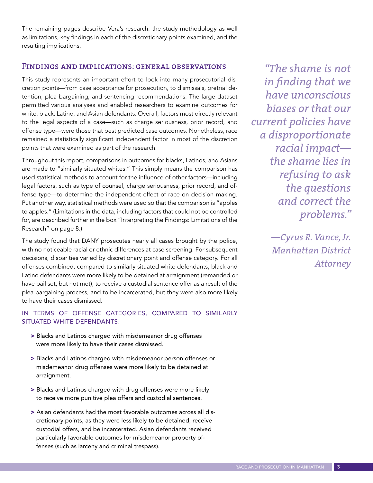The remaining pages describe Vera's research: the study methodology as well as limitations, key findings in each of the discretionary points examined, and the resulting implications.

#### Findings and implications: general observations

This study represents an important effort to look into many prosecutorial discretion points—from case acceptance for prosecution, to dismissals, pretrial detention, plea bargaining, and sentencing recommendations. The large dataset permitted various analyses and enabled researchers to examine outcomes for white, black, Latino, and Asian defendants. Overall, factors most directly relevant to the legal aspects of a case—such as charge seriousness, prior record, and offense type—were those that best predicted case outcomes. Nonetheless, race remained a statistically significant independent factor in most of the discretion points that were examined as part of the research.

Throughout this report, comparisons in outcomes for blacks, Latinos, and Asians are made to "similarly situated whites." This simply means the comparison has used statistical methods to account for the influence of other factors—including legal factors, such as type of counsel, charge seriousness, prior record, and offense type—to determine the independent effect of race on decision making. Put another way, statistical methods were used so that the comparison is "apples to apples." (Limitations in the data, including factors that could not be controlled for, are described further in the box "Interpreting the Findings: Limitations of the Research" on page 8.)

The study found that DANY prosecutes nearly all cases brought by the police, with no noticeable racial or ethnic differences at case screening. For subsequent decisions, disparities varied by discretionary point and offense category. For all offenses combined, compared to similarly situated white defendants, black and Latino defendants were more likely to be detained at arraignment (remanded or have bail set, but not met), to receive a custodial sentence offer as a result of the plea bargaining process, and to be incarcerated, but they were also more likely to have their cases dismissed.

#### IN TERMS OF OFFENSE CATEGORIES, COMPARED TO SIMILARLY SITUATED WHITE DEFENDANTS:

- > Blacks and Latinos charged with misdemeanor drug offenses were more likely to have their cases dismissed.
- > Blacks and Latinos charged with misdemeanor person offenses or misdemeanor drug offenses were more likely to be detained at arraignment.
- > Blacks and Latinos charged with drug offenses were more likely to receive more punitive plea offers and custodial sentences.
- > Asian defendants had the most favorable outcomes across all discretionary points, as they were less likely to be detained, receive custodial offers, and be incarcerated. Asian defendants received particularly favorable outcomes for misdemeanor property offenses (such as larceny and criminal trespass).

*"The shame is not in finding that we have unconscious biases or that our current policies have a disproportionate racial impact the shame lies in refusing to ask the questions and correct the problems."*

> *—Cyrus R. Vance, Jr. Manhattan District Attorney*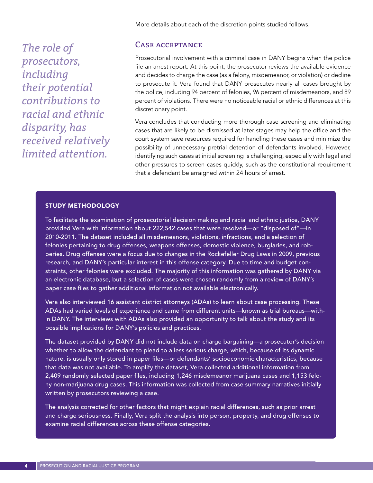More details about each of the discretion points studied follows.

*The role of prosecutors, including their potential contributions to racial and ethnic disparity, has received relatively limited attention.*

#### Case acceptance

Prosecutorial involvement with a criminal case in DANY begins when the police file an arrest report. At this point, the prosecutor reviews the available evidence and decides to charge the case (as a felony, misdemeanor, or violation) or decline to prosecute it. Vera found that DANY prosecutes nearly all cases brought by the police, including 94 percent of felonies, 96 percent of misdemeanors, and 89 percent of violations. There were no noticeable racial or ethnic differences at this discretionary point.

Vera concludes that conducting more thorough case screening and eliminating cases that are likely to be dismissed at later stages may help the office and the court system save resources required for handling these cases and minimize the possibility of unnecessary pretrial detention of defendants involved. However, identifying such cases at initial screening is challenging, especially with legal and other pressures to screen cases quickly, such as the constitutional requirement that a defendant be arraigned within 24 hours of arrest.

#### STUDY METHODOLOGY

To facilitate the examination of prosecutorial decision making and racial and ethnic justice, DANY provided Vera with information about 222,542 cases that were resolved—or "disposed of"—in 2010-2011. The dataset included all misdemeanors, violations, infractions, and a selection of felonies pertaining to drug offenses, weapons offenses, domestic violence, burglaries, and robberies. Drug offenses were a focus due to changes in the Rockefeller Drug Laws in 2009, previous research, and DANY's particular interest in this offense category. Due to time and budget constraints, other felonies were excluded. The majority of this information was gathered by DANY via an electronic database, but a selection of cases were chosen randomly from a review of DANY's paper case files to gather additional information not available electronically.

Vera also interviewed 16 assistant district attorneys (ADAs) to learn about case processing. These ADAs had varied levels of experience and came from different units—known as trial bureaus—within DANY. The interviews with ADAs also provided an opportunity to talk about the study and its possible implications for DANY's policies and practices.

The dataset provided by DANY did not include data on charge bargaining—a prosecutor's decision whether to allow the defendant to plead to a less serious charge, which, because of its dynamic nature, is usually only stored in paper files—or defendants' socioeconomic characteristics, because that data was not available. To amplify the dataset, Vera collected additional information from 2,409 randomly selected paper files, including 1,246 misdemeanor marijuana cases and 1,153 felony non-marijuana drug cases. This information was collected from case summary narratives initially written by prosecutors reviewing a case.

The analysis corrected for other factors that might explain racial differences, such as prior arrest and charge seriousness. Finally, Vera split the analysis into person, property, and drug offenses to examine racial differences across these offense categories.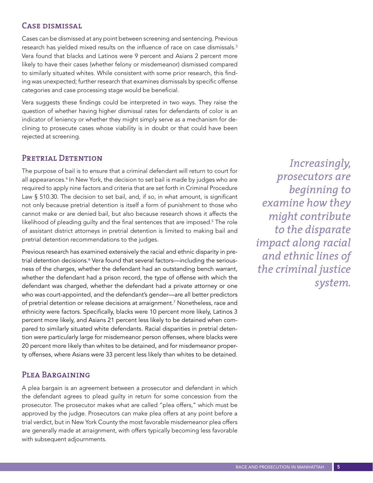# Case dismissal

Cases can be dismissed at any point between screening and sentencing. Previous research has yielded mixed results on the influence of race on case dismissals.<sup>3</sup> Vera found that blacks and Latinos were 9 percent and Asians 2 percent more likely to have their cases (whether felony or misdemeanor) dismissed compared to similarly situated whites. While consistent with some prior research, this finding was unexpected; further research that examines dismissals by specific offense categories and case processing stage would be beneficial.

Vera suggests these findings could be interpreted in two ways. They raise the question of whether having higher dismissal rates for defendants of color is an indicator of leniency or whether they might simply serve as a mechanism for declining to prosecute cases whose viability is in doubt or that could have been rejected at screening.

# PRETRIAL DETENTION

The purpose of bail is to ensure that a criminal defendant will return to court for all appearances.4 In New York, the decision to set bail is made by judges who are required to apply nine factors and criteria that are set forth in Criminal Procedure Law § 510.30. The decision to set bail, and, if so, in what amount, is significant not only because pretrial detention is itself a form of punishment to those who cannot make or are denied bail, but also because research shows it affects the likelihood of pleading guilty and the final sentences that are imposed.<sup>5</sup> The role of assistant district attorneys in pretrial detention is limited to making bail and pretrial detention recommendations to the judges.

Previous research has examined extensively the racial and ethnic disparity in pretrial detention decisions.<sup>6</sup> Vera found that several factors—including the seriousness of the charges, whether the defendant had an outstanding bench warrant, whether the defendant had a prison record, the type of offense with which the defendant was charged, whether the defendant had a private attorney or one who was court-appointed, and the defendant's gender—are all better predictors of pretrial detention or release decisions at arraignment.<sup>7</sup> Nonetheless, race and ethnicity were factors. Specifically, blacks were 10 percent more likely, Latinos 3 percent more likely, and Asians 21 percent less likely to be detained when compared to similarly situated white defendants. Racial disparities in pretrial detention were particularly large for misdemeanor person offenses, where blacks were 20 percent more likely than whites to be detained, and for misdemeanor property offenses, where Asians were 33 percent less likely than whites to be detained.

#### PLEA BARGAINING

A plea bargain is an agreement between a prosecutor and defendant in which the defendant agrees to plead guilty in return for some concession from the prosecutor. The prosecutor makes what are called "plea offers," which must be approved by the judge. Prosecutors can make plea offers at any point before a trial verdict, but in New York County the most favorable misdemeanor plea offers are generally made at arraignment, with offers typically becoming less favorable with subsequent adjournments.

*Increasingly, prosecutors are beginning to examine how they might contribute to the disparate impact along racial and ethnic lines of the criminal justice system.*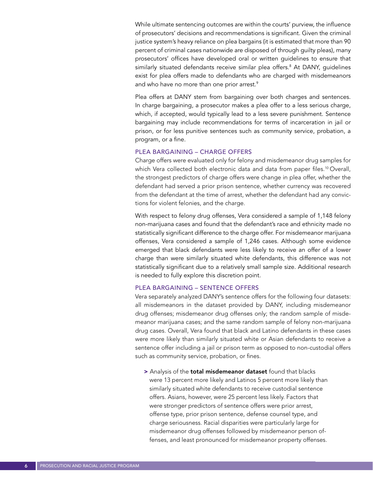While ultimate sentencing outcomes are within the courts' purview, the influence of prosecutors' decisions and recommendations is significant. Given the criminal justice system's heavy reliance on plea bargains (it is estimated that more than 90 percent of criminal cases nationwide are disposed of through guilty pleas), many prosecutors' offices have developed oral or written guidelines to ensure that similarly situated defendants receive similar plea offers.8 At DANY, guidelines exist for plea offers made to defendants who are charged with misdemeanors and who have no more than one prior arrest.<sup>9</sup>

Plea offers at DANY stem from bargaining over both charges and sentences. In charge bargaining, a prosecutor makes a plea offer to a less serious charge, which, if accepted, would typically lead to a less severe punishment. Sentence bargaining may include recommendations for terms of incarceration in jail or prison, or for less punitive sentences such as community service, probation, a program, or a fine.

#### PLEA BARGAINING – CHARGE OFFERS

Charge offers were evaluated only for felony and misdemeanor drug samples for which Vera collected both electronic data and data from paper files.<sup>10</sup> Overall, the strongest predictors of charge offers were change in plea offer, whether the defendant had served a prior prison sentence, whether currency was recovered from the defendant at the time of arrest, whether the defendant had any convictions for violent felonies, and the charge.

With respect to felony drug offenses, Vera considered a sample of 1,148 felony non-marijuana cases and found that the defendant's race and ethnicity made no statistically significant difference to the charge offer. For misdemeanor marijuana offenses, Vera considered a sample of 1,246 cases. Although some evidence emerged that black defendants were less likely to receive an offer of a lower charge than were similarly situated white defendants, this difference was not statistically significant due to a relatively small sample size. Additional research is needed to fully explore this discretion point.

#### PLEA BARGAINING – SENTENCE OFFERS

Vera separately analyzed DANY's sentence offers for the following four datasets: all misdemeanors in the dataset provided by DANY, including misdemeanor drug offenses; misdemeanor drug offenses only; the random sample of misdemeanor marijuana cases; and the same random sample of felony non-marijuana drug cases. Overall, Vera found that black and Latino defendants in these cases were more likely than similarly situated white or Asian defendants to receive a sentence offer including a jail or prison term as opposed to non-custodial offers such as community service, probation, or fines.

> Analysis of the total misdemeanor dataset found that blacks were 13 percent more likely and Latinos 5 percent more likely than similarly situated white defendants to receive custodial sentence offers. Asians, however, were 25 percent less likely. Factors that were stronger predictors of sentence offers were prior arrest, offense type, prior prison sentence, defense counsel type, and charge seriousness. Racial disparities were particularly large for misdemeanor drug offenses followed by misdemeanor person offenses, and least pronounced for misdemeanor property offenses.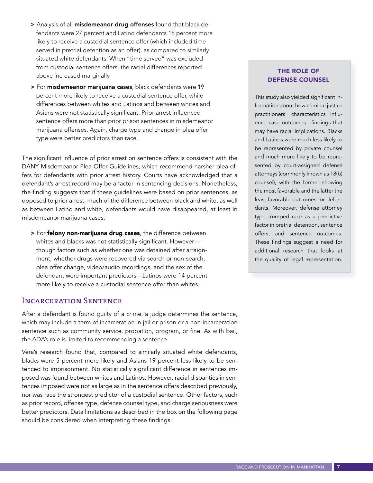- > Analysis of all misdemeanor drug offenses found that black defendants were 27 percent and Latino defendants 18 percent more likely to receive a custodial sentence offer (which included time served in pretrial detention as an offer), as compared to similarly situated white defendants. When "time served" was excluded from custodial sentence offers, the racial differences reported above increased marginally.
- > For misdemeanor marijuana cases, black defendants were 19 percent more likely to receive a custodial sentence offer, while differences between whites and Latinos and between whites and Asians were not statistically significant. Prior arrest influenced sentence offers more than prior prison sentences in misdemeanor marijuana offenses. Again, charge type and change in plea offer type were better predictors than race.

The significant influence of prior arrest on sentence offers is consistent with the DANY Misdemeanor Plea Offer Guidelines, which recommend harsher plea offers for defendants with prior arrest history. Courts have acknowledged that a defendant's arrest record may be a factor in sentencing decisions. Nonetheless, the finding suggests that if these guidelines were based on prior sentences, as opposed to prior arrest, much of the difference between black and white, as well as between Latino and white, defendants would have disappeared, at least in misdemeanor marijuana cases.

> For felony non-marijuana drug cases, the difference between whites and blacks was not statistically significant. However though factors such as whether one was detained after arraignment, whether drugs were recovered via search or non-search, plea offer change, video/audio recordings, and the sex of the defendant were important predictors—Latinos were 14 percent more likely to receive a custodial sentence offer than whites.

#### Incarceration Sentence

After a defendant is found guilty of a crime, a judge determines the sentence, which may include a term of incarceration in jail or prison or a non-incarceration sentence such as community service, probation, program, or fine. As with bail, the ADA's role is limited to recommending a sentence.

Vera's research found that, compared to similarly situated white defendants, blacks were 5 percent more likely and Asians 19 percent less likely to be sentenced to imprisonment. No statistically significant difference in sentences imposed was found between whites and Latinos. However, racial disparities in sentences imposed were not as large as in the sentence offers described previously, nor was race the strongest predictor of a custodial sentence. Other factors, such as prior record, offense type, defense counsel type, and charge seriousness were better predictors. Data limitations as described in the box on the following page should be considered when interpreting these findings.

# THE ROLE OF DEFENSE COUNSEL

This study also yielded significant information about how criminal justice practitioners' characteristics influence case outcomes—findings that may have racial implications. Blacks and Latinos were much less likely to be represented by private counsel and much more likely to be represented by court-assigned defense attorneys (commonly known as 18(b) counsel), with the former showing the most favorable and the latter the least favorable outcomes for defendants. Moreover, defense attorney type trumped race as a predictive factor in pretrial detention, sentence offers, and sentence outcomes. These findings suggest a need for additional research that looks at the quality of legal representation.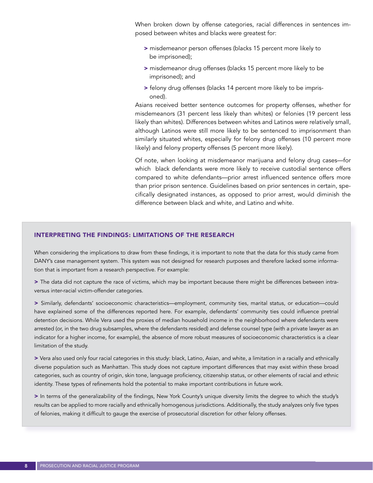When broken down by offense categories, racial differences in sentences imposed between whites and blacks were greatest for:

- > misdemeanor person offenses (blacks 15 percent more likely to be imprisoned);
- > misdemeanor drug offenses (blacks 15 percent more likely to be imprisoned); and
- > felony drug offenses (blacks 14 percent more likely to be imprisoned).

Asians received better sentence outcomes for property offenses, whether for misdemeanors (31 percent less likely than whites) or felonies (19 percent less likely than whites). Differences between whites and Latinos were relatively small, although Latinos were still more likely to be sentenced to imprisonment than similarly situated whites, especially for felony drug offenses (10 percent more likely) and felony property offenses (5 percent more likely).

Of note, when looking at misdemeanor marijuana and felony drug cases—for which black defendants were more likely to receive custodial sentence offers compared to white defendants—prior arrest influenced sentence offers more than prior prison sentence. Guidelines based on prior sentences in certain, specifically designated instances, as opposed to prior arrest, would diminish the difference between black and white, and Latino and white.

#### INTERPRETING THE FINDINGS: LIMITATIONS OF THE RESEARCH

When considering the implications to draw from these findings, it is important to note that the data for this study came from DANY's case management system. This system was not designed for research purposes and therefore lacked some information that is important from a research perspective. For example:

> The data did not capture the race of victims, which may be important because there might be differences between intraversus inter-racial victim-offender categories.

> Similarly, defendants' socioeconomic characteristics—employment, community ties, marital status, or education—could have explained some of the differences reported here. For example, defendants' community ties could influence pretrial detention decisions. While Vera used the proxies of median household income in the neighborhood where defendants were arrested (or, in the two drug subsamples, where the defendants resided) and defense counsel type (with a private lawyer as an indicator for a higher income, for example), the absence of more robust measures of socioeconomic characteristics is a clear limitation of the study.

> Vera also used only four racial categories in this study: black, Latino, Asian, and white, a limitation in a racially and ethnically diverse population such as Manhattan. This study does not capture important differences that may exist within these broad categories, such as country of origin, skin tone, language proficiency, citizenship status, or other elements of racial and ethnic identity. These types of refinements hold the potential to make important contributions in future work.

> In terms of the generalizability of the findings, New York County's unique diversity limits the degree to which the study's results can be applied to more racially and ethnically homogenous jurisdictions. Additionally, the study analyzes only five types of felonies, making it difficult to gauge the exercise of prosecutorial discretion for other felony offenses.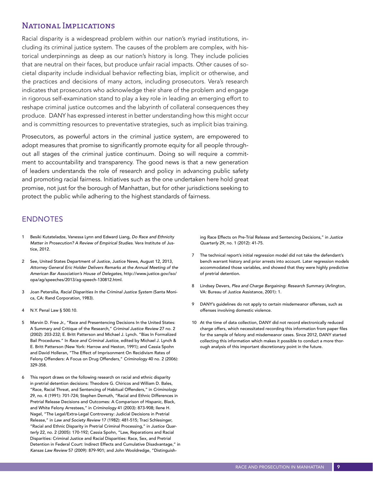## NATIONAL IMPLICATIONS

Racial disparity is a widespread problem within our nation's myriad institutions, including its criminal justice system. The causes of the problem are complex, with historical underpinnings as deep as our nation's history is long. They include policies that are neutral on their faces, but produce unfair racial impacts. Other causes of societal disparity include individual behavior reflecting bias, implicit or otherwise, and the practices and decisions of many actors, including prosecutors. Vera's research indicates that prosecutors who acknowledge their share of the problem and engage in rigorous self-examination stand to play a key role in leading an emerging effort to reshape criminal justice outcomes and the labyrinth of collateral consequences they produce. DANY has expressed interest in better understanding how this might occur and is committing resources to preventative strategies, such as implicit bias training.

Prosecutors, as powerful actors in the criminal justice system, are empowered to adopt measures that promise to significantly promote equity for all people throughout all stages of the criminal justice continuum. Doing so will require a commitment to accountability and transparency. The good news is that a new generation of leaders understands the role of research and policy in advancing public safety and promoting racial fairness. Initiatives such as the one undertaken here hold great promise, not just for the borough of Manhattan, but for other jurisdictions seeking to protect the public while adhering to the highest standards of fairness.

# ENDNOTES

- 1 Besiki Kutateladze, Vanessa Lynn and Edward Liang, *Do Race and Ethnicity Matter in Prosecution? A Review of Empirical Studies*. Vera Institute of Justice, 2012.
- 2 See, United States Department of Justice, Justice News, August 12, 2013, *Attorney General Eric Holder Delivers Remarks at the Annual Meeting of the American Bar Association's House of Delegates,* http://www.justice.gov/iso/ opa/ag/speeches/2013/ag-speech-130812.html.
- 3 Joan Petersilia, *Racial Disparities In the Criminal Justice System* (Santa Monica, CA: Rand Corporation, 1983).
- 4 N.Y. Penal Law § 500.10.
- 5 Marvin D. Free Jr., "Race and Presentencing Decisions In the United States: A Summary and Critique of the Research," *Criminal Justice Review* 27 no. 2 (2002): 203-232; E. Britt Patterson and Michael J. Lynch. "Bias In Formalized Bail Procedures." In *Race and Criminal Justice*, edited by Michael J. Lynch & E. Britt Patterson (New York: Harrow and Heston, 1991); and Cassia Spohn and David Holleran, "The Effect of Imprisonment On Recidivism Rates of Felony Offenders: A Focus on Drug Offenders," *Criminology* 40 no. 2 (2006): 329-358.
- 6 This report draws on the following research on racial and ethnic disparity in pretrial detention decisions: Theodore G. Chiricos and William D. Bales, "Race, Racial Threat, and Sentencing of Habitual Offenders," in *Criminology*  29, no. 4 (1991): 701-724; Stephen Demuth, "Racial and Ethnic Differences in Pretrial Release Decisions and Outcomes: A Comparison of Hispanic, Black, and White Felony Arrestees," in *Criminology* 41 (2003): 873-908; Ilene H. Nagel, "The Legal/Extra-Legal Controversy: Judicial Decisions in Pretrial Release," in *Law and Society Review* 17 (1982): 481-515; Traci Schlesinger, "Racial and Ethnic Disparity in Pretrial Criminal Processing," in *Justice Quarterly* 22, no. 2 (2005): 170-192; Cassia Spohn, "Law, Reparations and Racial Disparities: Criminal Justice and Racial Disparities: Race, Sex, and Pretrial Detention in Federal Court: Indirect Effects and Cumulative Disadvantage," in *Kansas Law Review* 57 (2009): 879-901; and John Wooldredge, "Distinguish-

ing Race Effects on Pre-Trial Release and Sentencing Decisions," in *Justice Quarterly* 29, no. 1 (2012): 41-75.

- 7 The technical report's initial regression model did not take the defendant's bench warrant history and prior arrests into account. Later regression models accommodated those variables, and showed that they were highly predictive of pretrial detention.
- 8 Lindsey Devers, *Plea and Charge Bargaining: Research Summary* (Arlington, VA: Bureau of Justice Assistance, 2001): 1.
- 9 DANY's guidelines do not apply to certain misdemeanor offenses, such as offenses involving domestic violence.
- 10 At the time of data collection, DANY did not record electronically reduced charge offers, which necessitated recording this information from paper files for the sample of felony and misdemeanor cases. Since 2012, DANY started collecting this information which makes it possible to conduct a more thorough analysis of this important discretionary point in the future.